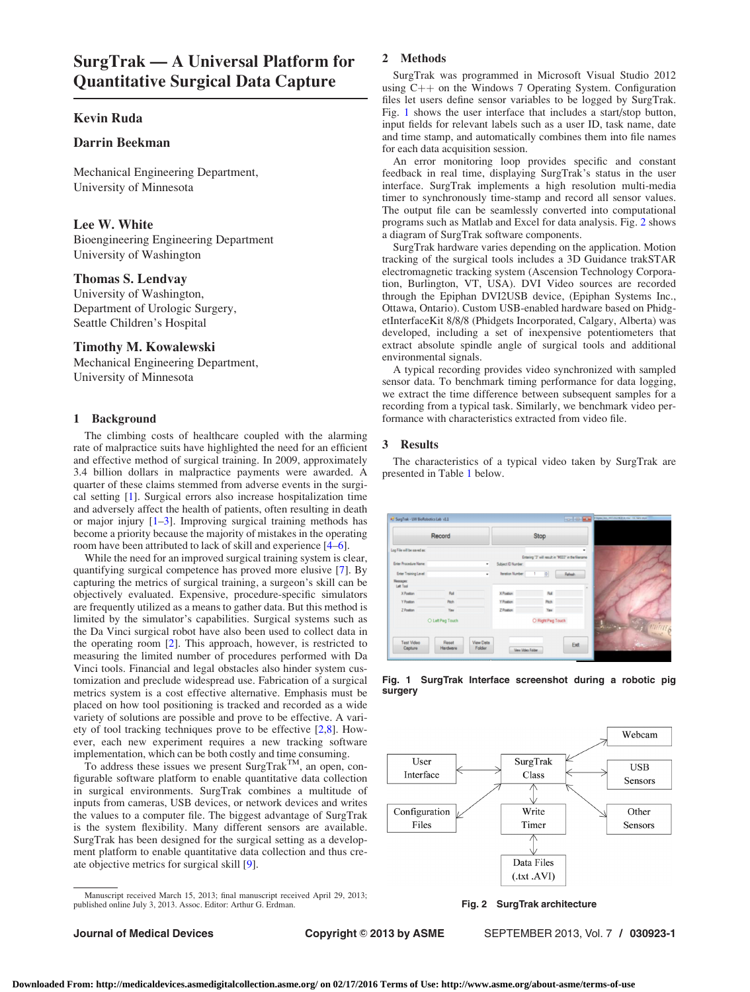# <span id="page-0-0"></span>Kevin Ruda

# Darrin Beekman

Mechanical Engineering Department, University of Minnesota

### Lee W. White

Bioengineering Engineering Department University of Washington

# Thomas S. Lendvay

University of Washington, Department of Urologic Surgery, Seattle Children's Hospital

## Timothy M. Kowalewski

Mechanical Engineering Department, University of Minnesota

## 1 Background

The climbing costs of healthcare coupled with the alarming rate of malpractice suits have highlighted the need for an efficient and effective method of surgical training. In 2009, approximately 3.4 billion dollars in malpractice payments were awarded. A quarter of these claims stemmed from adverse events in the surgical setting [[1](#page-1-0)]. Surgical errors also increase hospitalization time and adversely affect the health of patients, often resulting in death or major injury [[1](#page-1-0)–[3](#page-1-0)]. Improving surgical training methods has become a priority because the majority of mistakes in the operating room have been attributed to lack of skill and experience [[4–6](#page-1-0)].

While the need for an improved surgical training system is clear, quantifying surgical competence has proved more elusive [[7](#page-1-0)]. By capturing the metrics of surgical training, a surgeon's skill can be objectively evaluated. Expensive, procedure-specific simulators are frequently utilized as a means to gather data. But this method is limited by the simulator's capabilities. Surgical systems such as the Da Vinci surgical robot have also been used to collect data in the operating room [[2](#page-1-0)]. This approach, however, is restricted to measuring the limited number of procedures performed with Da Vinci tools. Financial and legal obstacles also hinder system customization and preclude widespread use. Fabrication of a surgical metrics system is a cost effective alternative. Emphasis must be placed on how tool positioning is tracked and recorded as a wide variety of solutions are possible and prove to be effective. A variety of tool tracking techniques prove to be effective [[2](#page-1-0),[8](#page-1-0)]. However, each new experiment requires a new tracking software implementation, which can be both costly and time consuming.

To address these issues we present  $\text{Surgr}_R^{\text{TM}}$ , an open, configurable software platform to enable quantitative data collection in surgical environments. SurgTrak combines a multitude of inputs from cameras, USB devices, or network devices and writes the values to a computer file. The biggest advantage of SurgTrak is the system flexibility. Many different sensors are available. SurgTrak has been designed for the surgical setting as a development platform to enable quantitative data collection and thus create objective metrics for surgical skill [\[9\]](#page-1-0).

Manuscript received March 15, 2013; final manuscript received April 29, 2013; published online July 3, 2013. Assoc. Editor: Arthur G. Erdman.

#### 2 Methods

SurgTrak was programmed in Microsoft Visual Studio 2012 using  $C++$  on the Windows 7 Operating System. Configuration files let users define sensor variables to be logged by SurgTrak. Fig. 1 shows the user interface that includes a start/stop button, input fields for relevant labels such as a user ID, task name, date and time stamp, and automatically combines them into file names for each data acquisition session.

An error monitoring loop provides specific and constant feedback in real time, displaying SurgTrak's status in the user interface. SurgTrak implements a high resolution multi-media timer to synchronously time-stamp and record all sensor values. The output file can be seamlessly converted into computational programs such as Matlab and Excel for data analysis. Fig. 2 shows a diagram of SurgTrak software components.

SurgTrak hardware varies depending on the application. Motion tracking of the surgical tools includes a 3D Guidance trakSTAR electromagnetic tracking system (Ascension Technology Corporation, Burlington, VT, USA). DVI Video sources are recorded through the Epiphan DVI2USB device, (Epiphan Systems Inc., Ottawa, Ontario). Custom USB-enabled hardware based on PhidgetInterfaceKit 8/8/8 (Phidgets Incorporated, Calgary, Alberta) was developed, including a set of inexpensive potentiometers that extract absolute spindle angle of surgical tools and additional environmental signals.

A typical recording provides video synchronized with sampled sensor data. To benchmark timing performance for data logging, we extract the time difference between subsequent samples for a recording from a typical task. Similarly, we benchmark video performance with characteristics extracted from video file.

### 3 Results

The characteristics of a typical video taken by SurgTrak are presented in Table [1](#page-1-0) below.

| Record                       |                   |                     | <b>Stop</b>        |      |                                                                                                                                   |                   |
|------------------------------|-------------------|---------------------|--------------------|------|-----------------------------------------------------------------------------------------------------------------------------------|-------------------|
| Log File will be saved as:   |                   |                     |                    |      | ٠                                                                                                                                 |                   |
|                              |                   |                     |                    |      | Entering "3" will result in "M003" in the filename                                                                                |                   |
| Enter Procedure Name:        |                   | ٠                   | Subject ID Number: |      |                                                                                                                                   |                   |
| Enter Training Level:        |                   | ٠                   | Iteration Number:  | 륍    | Refresh                                                                                                                           |                   |
| Мевадет:<br>Left Tool        |                   |                     |                    |      |                                                                                                                                   |                   |
| X Postion                    | Roll              |                     | X Position         | Roll |                                                                                                                                   |                   |
| <b>Y</b> Postion             | Ptch              |                     | Y Postion          | Ptch |                                                                                                                                   |                   |
| Z Postion                    | Your              |                     | Z Position         | Yaw  |                                                                                                                                   |                   |
| O Left Peg Touch             |                   | O Right Peg Touch   |                    |      | <b>Amint</b><br>$\label{eq:2.1} \mathcal{F}_{\text{L}}(x,\xi)=\frac{1}{\sqrt{2\pi}}\int_{-\infty}^{\infty}e^{-\frac{1}{2}x^2}dx.$ |                   |
|                              |                   |                     |                    |      |                                                                                                                                   |                   |
| <b>Test Video</b><br>Capture | Reset<br>Hardware | View Data<br>Folder | View Video Folder  |      | Exit                                                                                                                              | <b>CONTRACTOR</b> |

Fig. 1 SurgTrak Interface screenshot during a robotic pig surgery



#### Fig. 2 SurgTrak architecture

Journal of Medical Devices **Copyright © 2013 by ASME** SEPTEMBER 2013, Vol. 7 / 030923-1